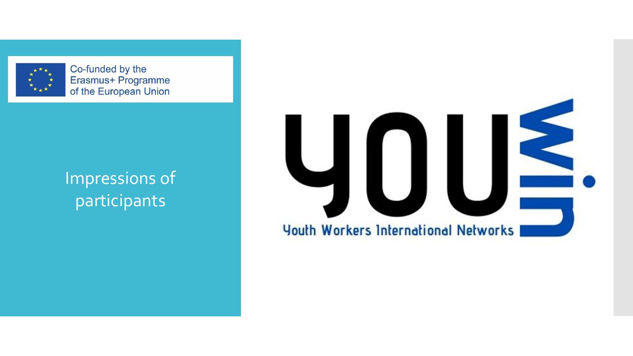

Co-funded by the Erasmus+ Programme of the European Union

#### Impressions of participants

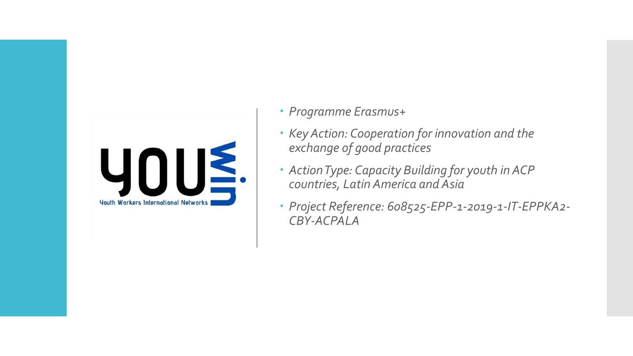

- *Programme Erasmus+*
- *Key Action: Cooperation for innovation and the exchange of good practices*
- *Action Type: Capacity Building for youth in ACP countries, Latin America and Asia*
- *Project Reference: 608525-EPP-1-2019-1-IT-EPPKA2- CBY-ACPALA*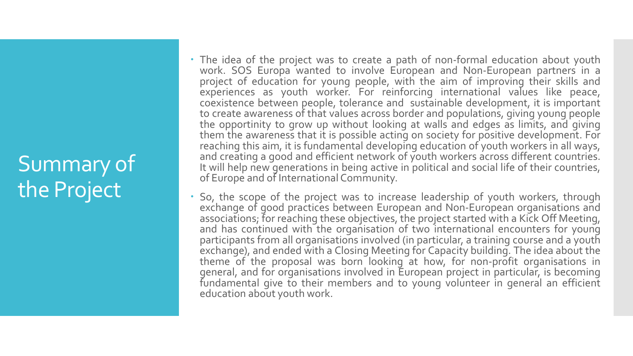# Summary of the Project

- The idea of the project was to create a path of non-formal education about youth work. SOS Europa wanted to involve European and Non-European partners in a project of education for young people, with the aim of improving their skills and experiences as youth worker. For reinforcing international values like peace, coexistence between people, tolerance and sustainable development, it is important to create awareness of that values across border and populations, giving young people the opportinity to grow up without looking at walls and edges as limits, and giving them the awareness that it is possible acting on society for positive development. For reaching this aim, it is fundamental developing education of youth workers in all ways, and creating a good and efficient network of youth workers across different countries. It will help new generations in being active in political and social life of their countries, of Europe and of International Community.
- So, the scope of the project was to increase leadership of youth workers, through exchange of good practices between European and Non-European organisations and associations; for reaching these objectives, the project started with a Kick Off Meeting, and has continued with the organisation of two international encounters for young participants from all organisations involved (in particular, a training course and a youth exchange), and ended with a Closing Meeting for Capacity building. The idea about the theme of the proposal was born looking at how, for non-profit organisations in general, and for organisations involved in European project in particular, is becoming fundamental give to their members and to young volunteer in general an efficient education about youth work.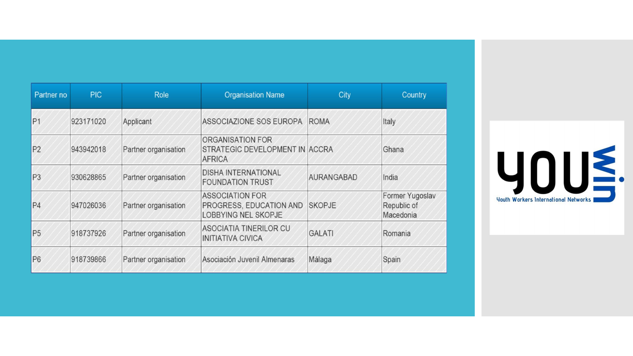| Partner no     | <b>PIC</b> | <b>Role</b>          | <b>Organisation Name</b>                                                        | City          | Country                                     |
|----------------|------------|----------------------|---------------------------------------------------------------------------------|---------------|---------------------------------------------|
| P <sub>1</sub> | 923171020  | Applicant            | ASSOCIAZIONE SOS EUROPA                                                         | <b>ROMA</b>   | Italy                                       |
| P <sub>2</sub> | 943942018  | Partner organisation | ORGANISATION FOR<br>STRATEGIC DEVELOPMENT IN ACCRA<br><b>AFRICA</b>             |               | Ghana                                       |
| P <sub>3</sub> | 930628865  | Partner organisation | <b>DISHA INTERNATIONAL</b><br><b>FOUNDATION TRUST</b>                           | AURANGABAD    | India                                       |
| P <sub>4</sub> | 947026036  | Partner organisation | <b>ASSOCIATION FOR</b><br>PROGRESS, EDUCATION AND<br><b>LOBBYING NEL SKOPJE</b> | <b>SKOPJE</b> | Former Yugoslav<br>Republic of<br>Macedonia |
| P <sub>5</sub> | 918737926  | Partner organisation | <b>ASOCIATIA TINERILOR CU</b><br><b>INITIATIVA CIVICA</b>                       | <b>GALATI</b> | Romania                                     |
| P <sub>6</sub> | 918739866  | Partner organisation | Asociación Juvenil Almenaras                                                    | Málaga        | Spain                                       |

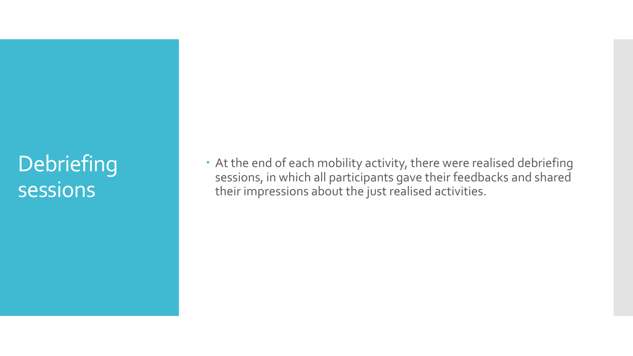## **Debriefing** sessions

 At the end of each mobility activity, there were realised debriefing sessions, in which all participants gave their feedbacks and shared their impressions about the just realised activities.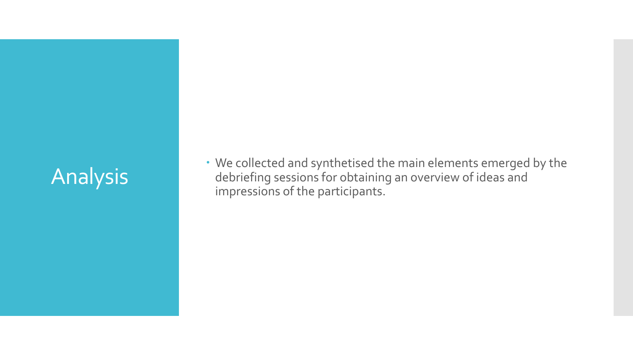# Analysis

 We collected and synthetised the main elements emerged by the debriefing sessions for obtaining an overview of ideas and impressions of the participants.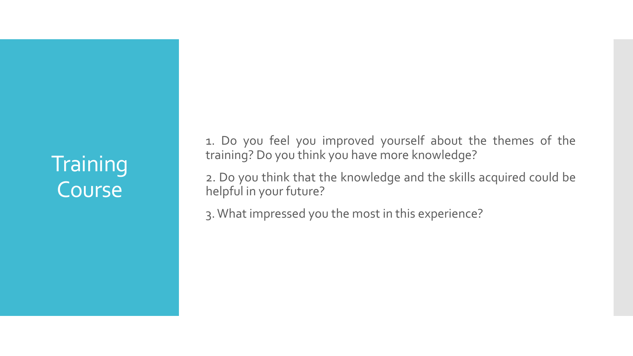# **Training** Course

1. Do you feel you improved yourself about the themes of the training? Do you think you have more knowledge?

2. Do you think that the knowledge and the skills acquired could be helpful in your future?

3.What impressed you the most in this experience?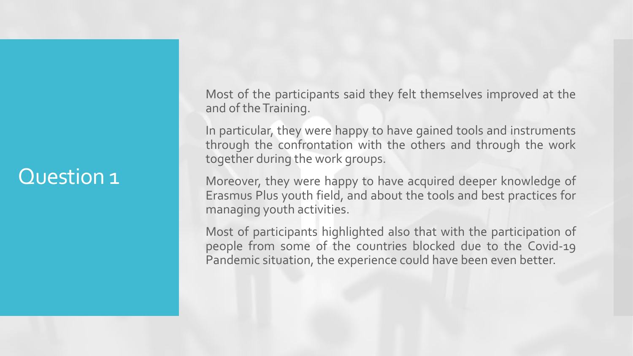Most of the participants said they felt themselves improved at the and of the Training.

In particular, they were happy to have gained tools and instruments through the confrontation with the others and through the work together during the work groups.

Moreover, they were happy to have acquired deeper knowledge of Erasmus Plus youth field, and about the tools and best practices for managing youth activities.

Most of participants highlighted also that with the participation of people from some of the countries blocked due to the Covid-19 Pandemic situation, the experience could have been even better.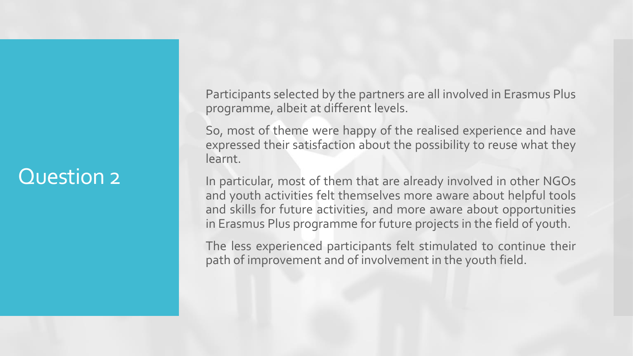Participants selected by the partners are all involved in Erasmus Plus programme, albeit at different levels.

So, most of theme were happy of the realised experience and have expressed their satisfaction about the possibility to reuse what they learnt.

In particular, most of them that are already involved in other NGOs and youth activities felt themselves more aware about helpful tools and skills for future activities, and more aware about opportunities in Erasmus Plus programme for future projects in the field of youth.

The less experienced participants felt stimulated to continue their path of improvement and of involvement in the youth field.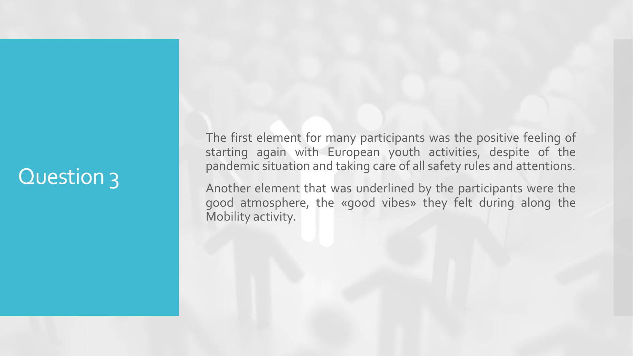The first element for many participants was the positive feeling of starting again with European youth activities, despite of the pandemic situation and taking care of all safety rules and attentions.

Another element that was underlined by the participants were the good atmosphere, the «good vibes» they felt during along the Mobility activity.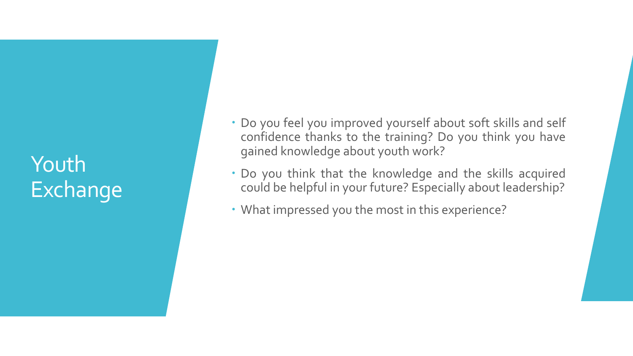# Youth Exchange

- Do you feel you improved yourself about soft skills and self confidence thanks to the training? Do you think you have gained knowledge about youth work?
- Do you think that the knowledge and the skills acquired could be helpful in your future? Especially about leadership?
- What impressed you the most in this experience?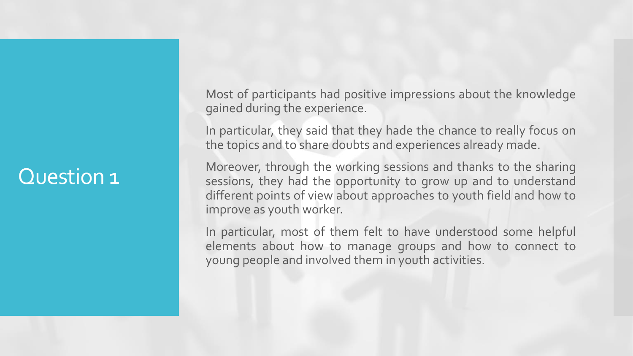Most of participants had positive impressions about the knowledge gained during the experience.

In particular, they said that they hade the chance to really focus on the topics and to share doubts and experiences already made.

Moreover, through the working sessions and thanks to the sharing sessions, they had the opportunity to grow up and to understand different points of view about approaches to youth field and how to improve as youth worker.

In particular, most of them felt to have understood some helpful elements about how to manage groups and how to connect to young people and involved them in youth activities.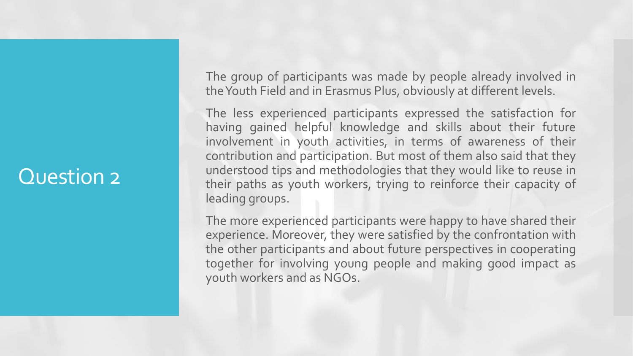The group of participants was made by people already involved in theYouth Field and in Erasmus Plus, obviously at different levels.

The less experienced participants expressed the satisfaction for having gained helpful knowledge and skills about their future involvement in youth activities, in terms of awareness of their contribution and participation. But most of them also said that they understood tips and methodologies that they would like to reuse in their paths as youth workers, trying to reinforce their capacity of leading groups.

The more experienced participants were happy to have shared their experience. Moreover, they were satisfied by the confrontation with the other participants and about future perspectives in cooperating together for involving young people and making good impact as youth workers and as NGOs.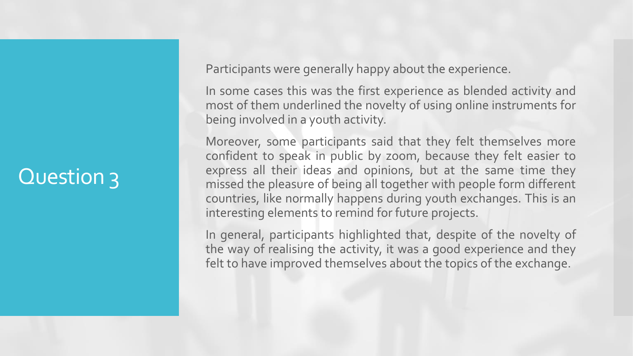Participants were generally happy about the experience.

In some cases this was the first experience as blended activity and most of them underlined the novelty of using online instruments for being involved in a youth activity.

Moreover, some participants said that they felt themselves more confident to speak in public by zoom, because they felt easier to express all their ideas and opinions, but at the same time they missed the pleasure of being all together with people form different countries, like normally happens during youth exchanges. This is an interesting elements to remind for future projects.

In general, participants highlighted that, despite of the novelty of the way of realising the activity, it was a good experience and they felt to have improved themselves about the topics of the exchange.